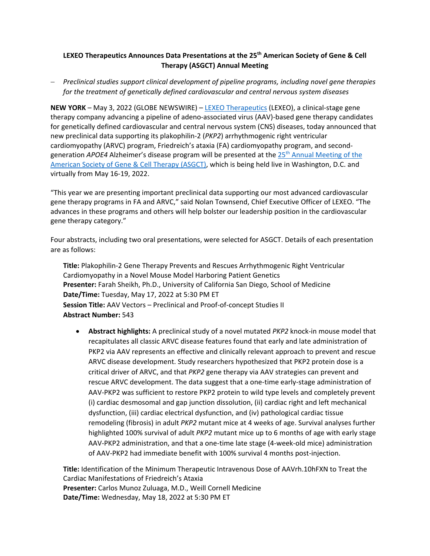## **LEXEO Therapeutics Announces Data Presentations at the 25th American Society of Gene & Cell Therapy (ASGCT) Annual Meeting**

− *Preclinical studies support clinical development of pipeline programs, including novel gene therapies for the treatment of genetically defined cardiovascular and central nervous system diseases*

**NEW YORK** – May 3, 2022 (GLOBE NEWSWIRE) – [LEXEO Therapeutics](https://www.lexeotx.com/) (LEXEO), a clinical-stage gene therapy company advancing a pipeline of adeno-associated virus (AAV)-based gene therapy candidates for genetically defined cardiovascular and central nervous system (CNS) diseases, today announced that new preclinical data supporting its plakophilin-2 (*PKP2*) arrhythmogenic right ventricular cardiomyopathy (ARVC) program, Friedreich's ataxia (FA) cardiomyopathy program, and secondgeneration *APOE4* Alzheimer's disease program will be presented at the 25th [Annual Meeting of the](https://annualmeeting.asgct.org/)  [American Society of Gene &](https://annualmeeting.asgct.org/) Cell Therapy (ASGCT), which is being held live in Washington, D.C. and virtually from May 16-19, 2022.

"This year we are presenting important preclinical data supporting our most advanced cardiovascular gene therapy programs in FA and ARVC," said Nolan Townsend, Chief Executive Officer of LEXEO. "The advances in these programs and others will help bolster our leadership position in the cardiovascular gene therapy category."

Four abstracts, including two oral presentations, were selected for ASGCT. Details of each presentation are as follows:

**Title:** Plakophilin-2 Gene Therapy Prevents and Rescues Arrhythmogenic Right Ventricular Cardiomyopathy in a Novel Mouse Model Harboring Patient Genetics **Presenter:** Farah Sheikh, Ph.D., University of California San Diego, School of Medicine **Date/Time:** Tuesday, May 17, 2022 at 5:30 PM ET **Session Title:** AAV Vectors – Preclinical and Proof-of-concept Studies II **Abstract Number:** 543

• **Abstract highlights:** A preclinical study of a novel mutated *PKP2* knock-in mouse model that recapitulates all classic ARVC disease features found that early and late administration of PKP2 via AAV represents an effective and clinically relevant approach to prevent and rescue ARVC disease development. Study researchers hypothesized that PKP2 protein dose is a critical driver of ARVC, and that *PKP2* gene therapy via AAV strategies can prevent and rescue ARVC development. The data suggest that a one-time early-stage administration of AAV-PKP2 was sufficient to restore PKP2 protein to wild type levels and completely prevent (i) cardiac desmosomal and gap junction dissolution, (ii) cardiac right and left mechanical dysfunction, (iii) cardiac electrical dysfunction, and (iv) pathological cardiac tissue remodeling (fibrosis) in adult *PKP2* mutant mice at 4 weeks of age. Survival analyses further highlighted 100% survival of adult *PKP2* mutant mice up to 6 months of age with early stage AAV-PKP2 administration, and that a one-time late stage (4-week-old mice) administration of AAV-PKP2 had immediate benefit with 100% survival 4 months post-injection.

**Title:** Identification of the Minimum Therapeutic Intravenous Dose of AAVrh.10hFXN to Treat the Cardiac Manifestations of Friedreich's Ataxia **Presenter:** Carlos Munoz Zuluaga, M.D., Weill Cornell Medicine **Date/Time:** Wednesday, May 18, 2022 at 5:30 PM ET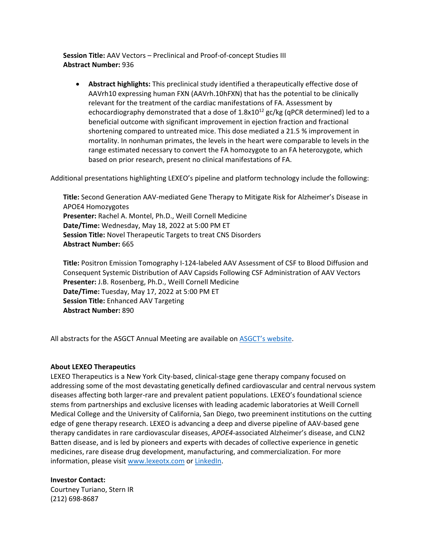**Session Title:** AAV Vectors – Preclinical and Proof-of-concept Studies III **Abstract Number:** 936

• **Abstract highlights:** This preclinical study identified a therapeutically effective dose of AAVrh10 expressing human FXN (AAVrh.10hFXN) that has the potential to be clinically relevant for the treatment of the cardiac manifestations of FA. Assessment by echocardiography demonstrated that a dose of  $1.8x10^{12}$  gc/kg (qPCR determined) led to a beneficial outcome with significant improvement in ejection fraction and fractional shortening compared to untreated mice. This dose mediated a 21.5 % improvement in mortality. In nonhuman primates, the levels in the heart were comparable to levels in the range estimated necessary to convert the FA homozygote to an FA heterozygote, which based on prior research, present no clinical manifestations of FA.

Additional presentations highlighting LEXEO's pipeline and platform technology include the following:

**Title:** Second Generation AAV-mediated Gene Therapy to Mitigate Risk for Alzheimer's Disease in APOE4 Homozygotes **Presenter:** Rachel A. Montel, Ph.D., Weill Cornell Medicine **Date/Time:** Wednesday, May 18, 2022 at 5:00 PM ET **Session Title:** Novel Therapeutic Targets to treat CNS Disorders **Abstract Number:** 665

**Title:** Positron Emission Tomography I-124-labeled AAV Assessment of CSF to Blood Diffusion and Consequent Systemic Distribution of AAV Capsids Following CSF Administration of AAV Vectors **Presenter:** J.B. Rosenberg, Ph.D., Weill Cornell Medicine **Date/Time:** Tuesday, May 17, 2022 at 5:00 PM ET **Session Title:** Enhanced AAV Targeting **Abstract Number:** 890

All abstracts for the ASGCT Annual Meeting are available on **[ASGCT's website](https://annualmeeting.asgct.org/abstracts)**.

## **About LEXEO Therapeutics**

LEXEO Therapeutics is a New York City-based, clinical-stage gene therapy company focused on addressing some of the most devastating genetically defined cardiovascular and central nervous system diseases affecting both larger-rare and prevalent patient populations. LEXEO's foundational science stems from partnerships and exclusive licenses with leading academic laboratories at Weill Cornell Medical College and the University of California, San Diego, two preeminent institutions on the cutting edge of gene therapy research. LEXEO is advancing a deep and diverse pipeline of AAV-based gene therapy candidates in rare cardiovascular diseases, *APOE4*-associated Alzheimer's disease, and CLN2 Batten disease, and is led by pioneers and experts with decades of collective experience in genetic medicines, rare disease drug development, manufacturing, and commercialization. For more information, please visit [www.lexeotx.com](https://www.lexeotx.com/) o[r LinkedIn.](https://www.linkedin.com/company/lexeo-therapeutics/?viewAsMember=true)

**Investor Contact:**

Courtney Turiano, Stern IR (212) 698-8687